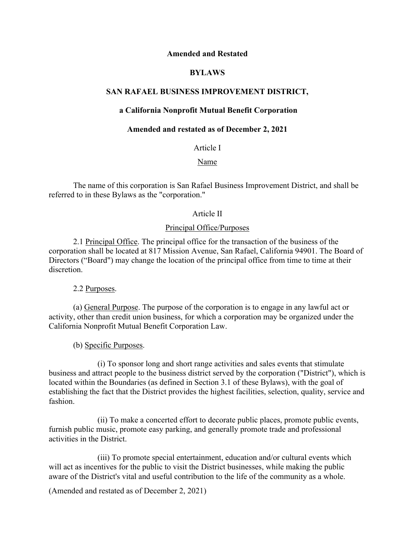### **Amended and Restated**

# **BYLAWS**

# **SAN RAFAEL BUSINESS IMPROVEMENT DISTRICT,**

# **a California Nonprofit Mutual Benefit Corporation**

# **Amended and restated as of December 2, 2021**

Article I

Name

The name of this corporation is San Rafael Business Improvement District, and shall be referred to in these Bylaws as the "corporation."

### Article II

### Principal Office/Purposes

2.1 Principal Office. The principal office for the transaction of the business of the corporation shall be located at 817 Mission Avenue, San Rafael, California 94901. The Board of Directors ("Board") may change the location of the principal office from time to time at their discretion.

2.2 Purposes.

(a) General Purpose. The purpose of the corporation is to engage in any lawful act or activity, other than credit union business, for which a corporation may be organized under the California Nonprofit Mutual Benefit Corporation Law.

(b) Specific Purposes.

(i) To sponsor long and short range activities and sales events that stimulate business and attract people to the business district served by the corporation ("District"), which is located within the Boundaries (as defined in Section 3.1 of these Bylaws), with the goal of establishing the fact that the District provides the highest facilities, selection, quality, service and fashion.

(ii) To make a concerted effort to decorate public places, promote public events, furnish public music, promote easy parking, and generally promote trade and professional activities in the District.

(iii) To promote special entertainment, education and/or cultural events which will act as incentives for the public to visit the District businesses, while making the public aware of the District's vital and useful contribution to the life of the community as a whole.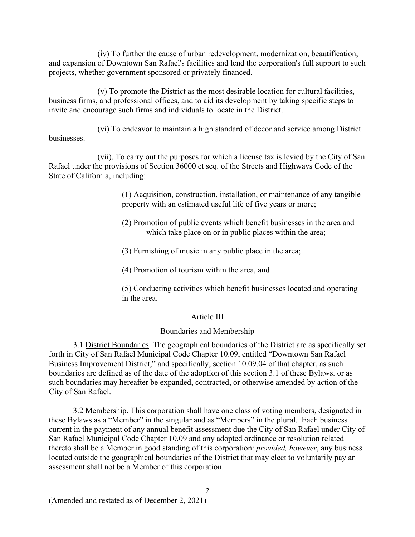(iv) To further the cause of urban redevelopment, modernization, beautification, and expansion of Downtown San Rafael's facilities and lend the corporation's full support to such projects, whether government sponsored or privately financed.

(v) To promote the District as the most desirable location for cultural facilities, business firms, and professional offices, and to aid its development by taking specific steps to invite and encourage such firms and individuals to locate in the District.

(vi) To endeavor to maintain a high standard of decor and service among District businesses.

(vii). To carry out the purposes for which a license tax is levied by the City of San Rafael under the provisions of Section 36000 et seq. of the Streets and Highways Code of the State of California, including:

> (1) Acquisition, construction, installation, or maintenance of any tangible property with an estimated useful life of five years or more;

- (2) Promotion of public events which benefit businesses in the area and which take place on or in public places within the area;
- (3) Furnishing of music in any public place in the area;
- (4) Promotion of tourism within the area, and

(5) Conducting activities which benefit businesses located and operating in the area.

# Article III

#### Boundaries and Membership

3.1 District Boundaries. The geographical boundaries of the District are as specifically set forth in City of San Rafael Municipal Code Chapter 10.09, entitled "Downtown San Rafael Business Improvement District," and specifically, section 10.09.04 of that chapter, as such boundaries are defined as of the date of the adoption of this section 3.1 of these Bylaws. or as such boundaries may hereafter be expanded, contracted, or otherwise amended by action of the City of San Rafael.

3.2 Membership. This corporation shall have one class of voting members, designated in these Bylaws as a "Member" in the singular and as "Members" in the plural. Each business current in the payment of any annual benefit assessment due the City of San Rafael under City of San Rafael Municipal Code Chapter 10.09 and any adopted ordinance or resolution related thereto shall be a Member in good standing of this corporation: *provided, however*, any business located outside the geographical boundaries of the District that may elect to voluntarily pay an assessment shall not be a Member of this corporation.

2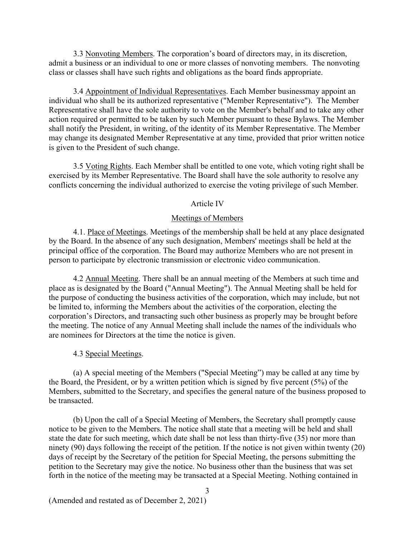3.3 Nonvoting Members. The corporation's board of directors may, in its discretion, admit a business or an individual to one or more classes of nonvoting members. The nonvoting class or classes shall have such rights and obligations as the board finds appropriate.

3.4 Appointment of Individual Representatives. Each Member businessmay appoint an individual who shall be its authorized representative ("Member Representative"). The Member Representative shall have the sole authority to vote on the Member's behalf and to take any other action required or permitted to be taken by such Member pursuant to these Bylaws. The Member shall notify the President, in writing, of the identity of its Member Representative. The Member may change its designated Member Representative at any time, provided that prior written notice is given to the President of such change.

3.5 Voting Rights. Each Member shall be entitled to one vote, which voting right shall be exercised by its Member Representative. The Board shall have the sole authority to resolve any conflicts concerning the individual authorized to exercise the voting privilege of such Member.

#### Article IV

#### Meetings of Members

4.1. Place of Meetings. Meetings of the membership shall be held at any place designated by the Board. In the absence of any such designation, Members' meetings shall be held at the principal office of the corporation. The Board may authorize Members who are not present in person to participate by electronic transmission or electronic video communication.

4.2 Annual Meeting. There shall be an annual meeting of the Members at such time and place as is designated by the Board ("Annual Meeting"). The Annual Meeting shall be held for the purpose of conducting the business activities of the corporation, which may include, but not be limited to, informing the Members about the activities of the corporation, electing the corporation's Directors, and transacting such other business as properly may be brought before the meeting. The notice of any Annual Meeting shall include the names of the individuals who are nominees for Directors at the time the notice is given.

### 4.3 Special Meetings.

(a) A special meeting of the Members ("Special Meeting") may be called at any time by the Board, the President, or by a written petition which is signed by five percent (5%) of the Members, submitted to the Secretary, and specifies the general nature of the business proposed to be transacted.

(b) Upon the call of a Special Meeting of Members, the Secretary shall promptly cause notice to be given to the Members. The notice shall state that a meeting will be held and shall state the date for such meeting, which date shall be not less than thirty-five (35) nor more than ninety (90) days following the receipt of the petition. If the notice is not given within twenty (20) days of receipt by the Secretary of the petition for Special Meeting, the persons submitting the petition to the Secretary may give the notice. No business other than the business that was set forth in the notice of the meeting may be transacted at a Special Meeting. Nothing contained in

3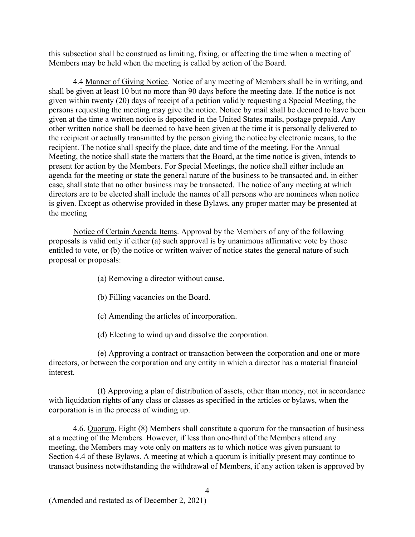this subsection shall be construed as limiting, fixing, or affecting the time when a meeting of Members may be held when the meeting is called by action of the Board.

4.4 Manner of Giving Notice. Notice of any meeting of Members shall be in writing, and shall be given at least 10 but no more than 90 days before the meeting date. If the notice is not given within twenty (20) days of receipt of a petition validly requesting a Special Meeting, the persons requesting the meeting may give the notice. Notice by mail shall be deemed to have been given at the time a written notice is deposited in the United States mails, postage prepaid. Any other written notice shall be deemed to have been given at the time it is personally delivered to the recipient or actually transmitted by the person giving the notice by electronic means, to the recipient. The notice shall specify the place, date and time of the meeting. For the Annual Meeting, the notice shall state the matters that the Board, at the time notice is given, intends to present for action by the Members. For Special Meetings, the notice shall either include an agenda for the meeting or state the general nature of the business to be transacted and, in either case, shall state that no other business may be transacted. The notice of any meeting at which directors are to be elected shall include the names of all persons who are nominees when notice is given. Except as otherwise provided in these Bylaws, any proper matter may be presented at the meeting

Notice of Certain Agenda Items. Approval by the Members of any of the following proposals is valid only if either (a) such approval is by unanimous affirmative vote by those entitled to vote, or (b) the notice or written waiver of notice states the general nature of such proposal or proposals:

- (a) Removing a director without cause.
- (b) Filling vacancies on the Board.
- (c) Amending the articles of incorporation.
- (d) Electing to wind up and dissolve the corporation.

(e) Approving a contract or transaction between the corporation and one or more directors, or between the corporation and any entity in which a director has a material financial interest.

(f) Approving a plan of distribution of assets, other than money, not in accordance with liquidation rights of any class or classes as specified in the articles or bylaws, when the corporation is in the process of winding up.

4.6. Quorum. Eight (8) Members shall constitute a quorum for the transaction of business at a meeting of the Members. However, if less than one-third of the Members attend any meeting, the Members may vote only on matters as to which notice was given pursuant to Section 4.4 of these Bylaws. A meeting at which a quorum is initially present may continue to transact business notwithstanding the withdrawal of Members, if any action taken is approved by

4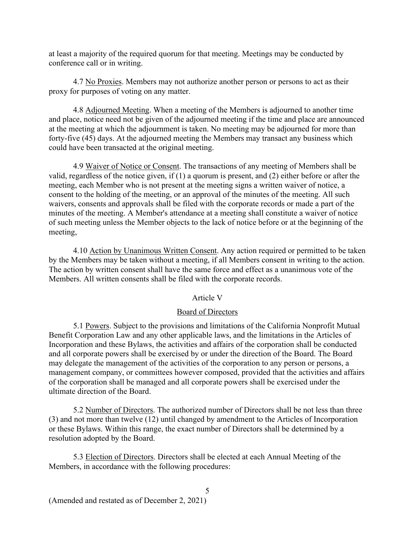at least a majority of the required quorum for that meeting. Meetings may be conducted by conference call or in writing.

4.7 No Proxies. Members may not authorize another person or persons to act as their proxy for purposes of voting on any matter.

4.8 Adjourned Meeting. When a meeting of the Members is adjourned to another time and place, notice need not be given of the adjourned meeting if the time and place are announced at the meeting at which the adjournment is taken. No meeting may be adjourned for more than forty-five (45) days. At the adjourned meeting the Members may transact any business which could have been transacted at the original meeting.

4.9 Waiver of Notice or Consent. The transactions of any meeting of Members shall be valid, regardless of the notice given, if (1) a quorum is present, and (2) either before or after the meeting, each Member who is not present at the meeting signs a written waiver of notice, a consent to the holding of the meeting, or an approval of the minutes of the meeting. All such waivers, consents and approvals shall be filed with the corporate records or made a part of the minutes of the meeting. A Member's attendance at a meeting shall constitute a waiver of notice of such meeting unless the Member objects to the lack of notice before or at the beginning of the meeting,

4.10 Action by Unanimous Written Consent. Any action required or permitted to be taken by the Members may be taken without a meeting, if all Members consent in writing to the action. The action by written consent shall have the same force and effect as a unanimous vote of the Members. All written consents shall be filed with the corporate records.

# Article V

# Board of Directors

5.1 Powers. Subject to the provisions and limitations of the California Nonprofit Mutual Benefit Corporation Law and any other applicable laws, and the limitations in the Articles of Incorporation and these Bylaws, the activities and affairs of the corporation shall be conducted and all corporate powers shall be exercised by or under the direction of the Board. The Board may delegate the management of the activities of the corporation to any person or persons, a management company, or committees however composed, provided that the activities and affairs of the corporation shall be managed and all corporate powers shall be exercised under the ultimate direction of the Board.

5.2 Number of Directors. The authorized number of Directors shall be not less than three (3) and not more than twelve (12) until changed by amendment to the Articles of Incorporation or these Bylaws. Within this range, the exact number of Directors shall be determined by a resolution adopted by the Board.

5

5.3 Election of Directors. Directors shall be elected at each Annual Meeting of the Members, in accordance with the following procedures: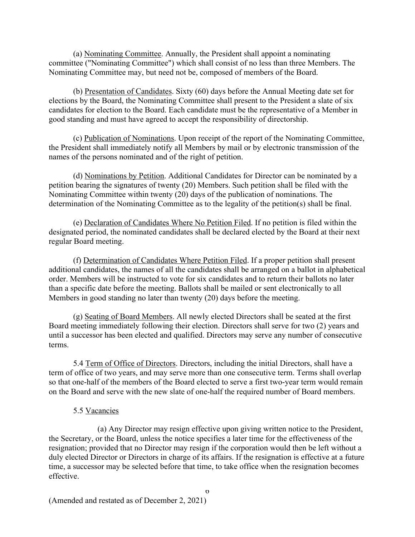(a) Nominating Committee. Annually, the President shall appoint a nominating committee ("Nominating Committee") which shall consist of no less than three Members. The Nominating Committee may, but need not be, composed of members of the Board.

(b) Presentation of Candidates. Sixty (60) days before the Annual Meeting date set for elections by the Board, the Nominating Committee shall present to the President a slate of six candidates for election to the Board. Each candidate must be the representative of a Member in good standing and must have agreed to accept the responsibility of directorship.

(c) Publication of Nominations. Upon receipt of the report of the Nominating Committee, the President shall immediately notify all Members by mail or by electronic transmission of the names of the persons nominated and of the right of petition.

(d) Nominations by Petition. Additional Candidates for Director can be nominated by a petition bearing the signatures of twenty (20) Members. Such petition shall be filed with the Nominating Committee within twenty (20) days of the publication of nominations. The determination of the Nominating Committee as to the legality of the petition(s) shall be final.

(e) Declaration of Candidates Where No Petition Filed. If no petition is filed within the designated period, the nominated candidates shall be declared elected by the Board at their next regular Board meeting.

(f) Determination of Candidates Where Petition Filed. If a proper petition shall present additional candidates, the names of all the candidates shall be arranged on a ballot in alphabetical order. Members will be instructed to vote for six candidates and to return their ballots no later than a specific date before the meeting. Ballots shall be mailed or sent electronically to all Members in good standing no later than twenty (20) days before the meeting.

(g) Seating of Board Members. All newly elected Directors shall be seated at the first Board meeting immediately following their election. Directors shall serve for two (2) years and until a successor has been elected and qualified. Directors may serve any number of consecutive terms.

5.4 Term of Office of Directors. Directors, including the initial Directors, shall have a term of office of two years, and may serve more than one consecutive term. Terms shall overlap so that one-half of the members of the Board elected to serve a first two-year term would remain on the Board and serve with the new slate of one-half the required number of Board members.

# 5.5 Vacancies

(a) Any Director may resign effective upon giving written notice to the President, the Secretary, or the Board, unless the notice specifies a later time for the effectiveness of the resignation; provided that no Director may resign if the corporation would then be left without a duly elected Director or Directors in charge of its affairs. If the resignation is effective at a future time, a successor may be selected before that time, to take office when the resignation becomes effective.

 $\sigma$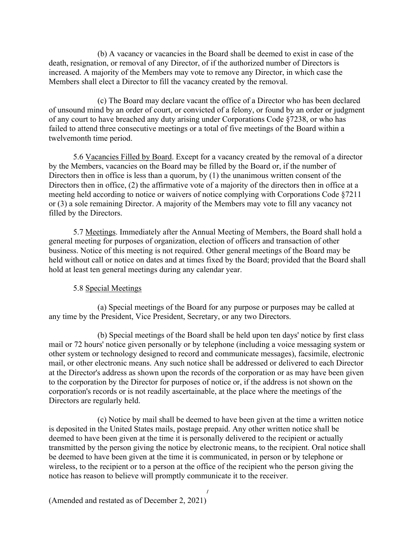(b) A vacancy or vacancies in the Board shall be deemed to exist in case of the death, resignation, or removal of any Director, of if the authorized number of Directors is increased. A majority of the Members may vote to remove any Director, in which case the Members shall elect a Director to fill the vacancy created by the removal.

(c) The Board may declare vacant the office of a Director who has been declared of unsound mind by an order of court, or convicted of a felony, or found by an order or judgment of any court to have breached any duty arising under Corporations Code §7238, or who has failed to attend three consecutive meetings or a total of five meetings of the Board within a twelvemonth time period.

5.6 Vacancies Filled by Board. Except for a vacancy created by the removal of a director by the Members, vacancies on the Board may be filled by the Board or, if the number of Directors then in office is less than a quorum, by (1) the unanimous written consent of the Directors then in office, (2) the affirmative vote of a majority of the directors then in office at a meeting held according to notice or waivers of notice complying with Corporations Code §7211 or (3) a sole remaining Director. A majority of the Members may vote to fill any vacancy not filled by the Directors.

5.7 Meetings. Immediately after the Annual Meeting of Members, the Board shall hold a general meeting for purposes of organization, election of officers and transaction of other business. Notice of this meeting is not required. Other general meetings of the Board may be held without call or notice on dates and at times fixed by the Board; provided that the Board shall hold at least ten general meetings during any calendar year.

# 5.8 Special Meetings

(a) Special meetings of the Board for any purpose or purposes may be called at any time by the President, Vice President, Secretary, or any two Directors.

(b) Special meetings of the Board shall be held upon ten days' notice by first class mail or 72 hours' notice given personally or by telephone (including a voice messaging system or other system or technology designed to record and communicate messages), facsimile, electronic mail, or other electronic means. Any such notice shall be addressed or delivered to each Director at the Director's address as shown upon the records of the corporation or as may have been given to the corporation by the Director for purposes of notice or, if the address is not shown on the corporation's records or is not readily ascertainable, at the place where the meetings of the Directors are regularly held.

(c) Notice by mail shall be deemed to have been given at the time a written notice is deposited in the United States mails, postage prepaid. Any other written notice shall be deemed to have been given at the time it is personally delivered to the recipient or actually transmitted by the person giving the notice by electronic means, to the recipient. Oral notice shall be deemed to have been given at the time it is communicated, in person or by telephone or wireless, to the recipient or to a person at the office of the recipient who the person giving the notice has reason to believe will promptly communicate it to the receiver.

 $\overline{1}$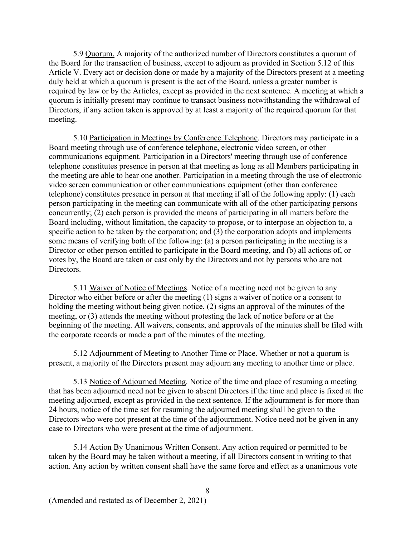5.9 Quorum. A majority of the authorized number of Directors constitutes a quorum of the Board for the transaction of business, except to adjourn as provided in Section 5.12 of this Article V. Every act or decision done or made by a majority of the Directors present at a meeting duly held at which a quorum is present is the act of the Board, unless a greater number is required by law or by the Articles, except as provided in the next sentence. A meeting at which a quorum is initially present may continue to transact business notwithstanding the withdrawal of Directors, if any action taken is approved by at least a majority of the required quorum for that meeting.

5.10 Participation in Meetings by Conference Telephone. Directors may participate in a Board meeting through use of conference telephone, electronic video screen, or other communications equipment. Participation in a Directors' meeting through use of conference telephone constitutes presence in person at that meeting as long as all Members participating in the meeting are able to hear one another. Participation in a meeting through the use of electronic video screen communication or other communications equipment (other than conference telephone) constitutes presence in person at that meeting if all of the following apply: (1) each person participating in the meeting can communicate with all of the other participating persons concurrently; (2) each person is provided the means of participating in all matters before the Board including, without limitation, the capacity to propose, or to interpose an objection to, a specific action to be taken by the corporation; and (3) the corporation adopts and implements some means of verifying both of the following: (a) a person participating in the meeting is a Director or other person entitled to participate in the Board meeting, and (b) all actions of, or votes by, the Board are taken or cast only by the Directors and not by persons who are not Directors.

5.11 Waiver of Notice of Meetings. Notice of a meeting need not be given to any Director who either before or after the meeting (1) signs a waiver of notice or a consent to holding the meeting without being given notice, (2) signs an approval of the minutes of the meeting, or (3) attends the meeting without protesting the lack of notice before or at the beginning of the meeting. All waivers, consents, and approvals of the minutes shall be filed with the corporate records or made a part of the minutes of the meeting.

5.12 Adjournment of Meeting to Another Time or Place. Whether or not a quorum is present, a majority of the Directors present may adjourn any meeting to another time or place.

5.13 Notice of Adjourned Meeting. Notice of the time and place of resuming a meeting that has been adjourned need not be given to absent Directors if the time and place is fixed at the meeting adjourned, except as provided in the next sentence. If the adjournment is for more than 24 hours, notice of the time set for resuming the adjourned meeting shall be given to the Directors who were not present at the time of the adjournment. Notice need not be given in any case to Directors who were present at the time of adjournment.

5.14 Action By Unanimous Written Consent. Any action required or permitted to be taken by the Board may be taken without a meeting, if all Directors consent in writing to that action. Any action by written consent shall have the same force and effect as a unanimous vote

8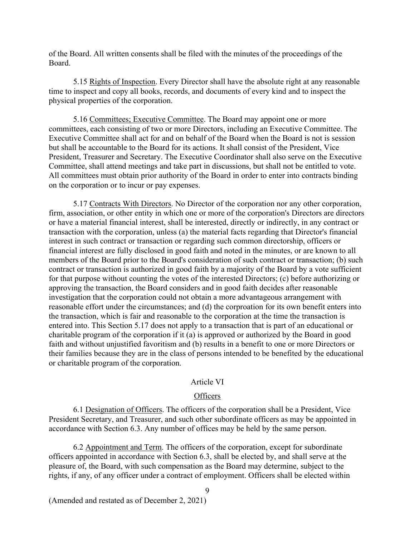of the Board. All written consents shall be filed with the minutes of the proceedings of the Board.

5.15 Rights of Inspection. Every Director shall have the absolute right at any reasonable time to inspect and copy all books, records, and documents of every kind and to inspect the physical properties of the corporation.

5.16 Committees; Executive Committee. The Board may appoint one or more committees, each consisting of two or more Directors, including an Executive Committee. The Executive Committee shall act for and on behalf of the Board when the Board is not is session but shall be accountable to the Board for its actions. It shall consist of the President, Vice President, Treasurer and Secretary. The Executive Coordinator shall also serve on the Executive Committee, shall attend meetings and take part in discussions, but shall not be entitled to vote. All committees must obtain prior authority of the Board in order to enter into contracts binding on the corporation or to incur or pay expenses.

5.17 Contracts With Directors. No Director of the corporation nor any other corporation, firm, association, or other entity in which one or more of the corporation's Directors are directors or have a material financial interest, shall be interested, directly or indirectly, in any contract or transaction with the corporation, unless (a) the material facts regarding that Director's financial interest in such contract or transaction or regarding such common directorship, officers or financial interest are fully disclosed in good faith and noted in the minutes, or are known to all members of the Board prior to the Board's consideration of such contract or transaction; (b) such contract or transaction is authorized in good faith by a majority of the Board by a vote sufficient for that purpose without counting the votes of the interested Directors; (c) before authorizing or approving the transaction, the Board considers and in good faith decides after reasonable investigation that the corporation could not obtain a more advantageous arrangement with reasonable effort under the circumstances; and (d) the corproation for its own benefit enters into the transaction, which is fair and reasonable to the corporation at the time the transaction is entered into. This Section 5.17 does not apply to a transaction that is part of an educational or charitable program of the corporation if it (a) is approved or authorized by the Board in good faith and without unjustified favoritism and (b) results in a benefit to one or more Directors or their families because they are in the class of persons intended to be benefited by the educational or charitable program of the corporation.

#### Article VI

#### **Officers**

6.1 Designation of Officers. The officers of the corporation shall be a President, Vice President Secretary, and Treasurer, and such other subordinate officers as may be appointed in accordance with Section 6.3. Any number of offices may be held by the same person.

6.2 Appointment and Term. The officers of the corporation, except for subordinate officers appointed in accordance with Section 6.3, shall be elected by, and shall serve at the pleasure of, the Board, with such compensation as the Board may determine, subject to the rights, if any, of any officer under a contract of employment. Officers shall be elected within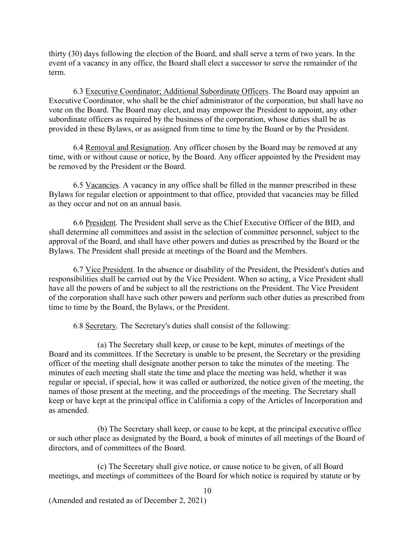thirty (30) days following the election of the Board, and shall serve a term of two years. In the event of a vacancy in any office, the Board shall elect a successor to serve the remainder of the term.

6.3 Executive Coordinator; Additional Subordinate Officers. The Board may appoint an Executive Coordinator, who shall be the chief administrator of the corporation, but shall have no vote on the Board. The Board may elect, and may empower the President to appoint, any other subordinate officers as required by the business of the corporation, whose duties shall be as provided in these Bylaws, or as assigned from time to time by the Board or by the President.

6.4 Removal and Resignation. Any officer chosen by the Board may be removed at any time, with or without cause or notice, by the Board. Any officer appointed by the President may be removed by the President or the Board.

6.5 Vacancies. A vacancy in any office shall be filled in the manner prescribed in these Bylaws for regular election or appointment to that office, provided that vacancies may be filled as they occur and not on an annual basis.

6.6 President. The President shall serve as the Chief Executive Officer of the BID, and shall determine all committees and assist in the selection of committee personnel, subject to the approval of the Board, and shall have other powers and duties as prescribed by the Board or the Bylaws. The President shall preside at meetings of the Board and the Members.

6.7 Vice President. In the absence or disability of the President, the President's duties and responsibilities shall be carried out by the Vice President. When so acting, a Vice President shall have all the powers of and be subject to all the restrictions on the President. The Vice President of the corporation shall have such other powers and perform such other duties as prescribed from time to time by the Board, the Bylaws, or the President.

6.8 Secretary. The Secretary's duties shall consist of the following:

(a) The Secretary shall keep, or cause to be kept, minutes of meetings of the Board and its committees. If the Secretary is unable to be present, the Secretary or the presiding officer of the meeting shall designate another person to take the minutes of the meeting. The minutes of each meeting shall state the time and place the meeting was held, whether it was regular or special, if special, how it was called or authorized, the notice given of the meeting, the names of those present at the meeting, and the proceedings of the meeting. The Secretary shall keep or have kept at the principal office in California a copy of the Articles of Incorporation and as amended.

(b) The Secretary shall keep, or cause to be kept, at the principal executive office or such other place as designated by the Board, a book of minutes of all meetings of the Board of directors, and of committees of the Board.

(c) The Secretary shall give notice, or cause notice to be given, of all Board meetings, and meetings of committees of the Board for which notice is required by statute or by

10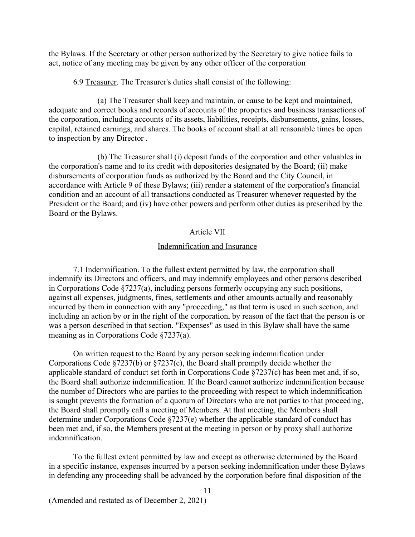the Bylaws. If the Secretary or other person authorized by the Secretary to give notice fails to act, notice of any meeting may be given by any other officer of the corporation

6.9 Treasurer. The Treasurer's duties shall consist of the following:

(a) The Treasurer shall keep and maintain, or cause to be kept and maintained, adequate and correct books and records of accounts of the properties and business transactions of the corporation, including accounts of its assets, liabilities, receipts, disbursements, gains, losses, capital, retained earnings, and shares. The books of account shall at all reasonable times be open to inspection by any Director .

(b) The Treasurer shall (i) deposit funds of the corporation and other valuables in the corporation's name and to its credit with depositories designated by the Board; (ii) make disbursements of corporation funds as authorized by the Board and the City Council, in accordance with Article 9 of these Bylaws; (iii) render a statement of the corporation's financial condition and an account of all transactions conducted as Treasurer whenever requested by the President or the Board; and (iv) have other powers and perform other duties as prescribed by the Board or the Bylaws.

### Article VII

# Indemnification and Insurance

7.1 Indemnification. To the fullest extent permitted by law, the corporation shall indemnify its Directors and officers, and may indemnify employees and other persons described in Corporations Code §7237(a), including persons formerly occupying any such positions, against all expenses, judgments, fines, settlements and other amounts actually and reasonably incurred by them in connection with any "proceeding," as that term is used in such section, and including an action by or in the right of the corporation, by reason of the fact that the person is or was a person described in that section. "Expenses" as used in this Bylaw shall have the same meaning as in Corporations Code §7237(a).

On written request to the Board by any person seeking indemnification under Corporations Code §7237(b) or §7237(c), the Board shall promptly decide whether the applicable standard of conduct set forth in Corporations Code §7237(c) has been met and, if so, the Board shall authorize indemnification. If the Board cannot authorize indemnification because the number of Directors who are parties to the proceeding with respect to which indemnification is sought prevents the formation of a quorum of Directors who are not parties to that proceeding, the Board shall promptly call a meeting of Members. At that meeting, the Members shall determine under Corporations Code §7237(e) whether the applicable standard of conduct has been met and, if so, the Members present at the meeting in person or by proxy shall authorize indemnification.

To the fullest extent permitted by law and except as otherwise determined by the Board in a specific instance, expenses incurred by a person seeking indemnification under these Bylaws in defending any proceeding shall be advanced by the corporation before final disposition of the

11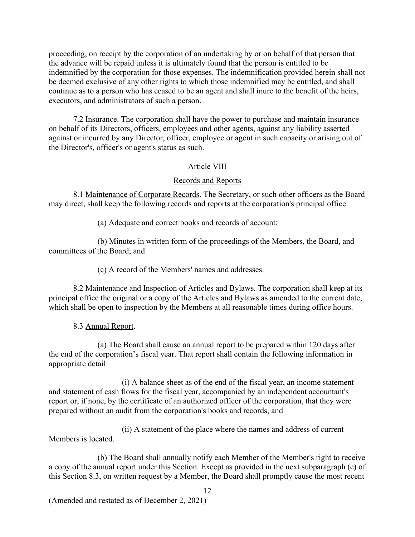proceeding, on receipt by the corporation of an undertaking by or on behalf of that person that the advance will be repaid unless it is ultimately found that the person is entitled to be indemnified by the corporation for those expenses. The indemnification provided herein shall not be deemed exclusive of any other rights to which those indemnified may be entitled, and shall continue as to a person who has ceased to be an agent and shall inure to the benefit of the heirs, executors, and administrators of such a person.

7.2 Insurance. The corporation shall have the power to purchase and maintain insurance on behalf of its Directors, officers, employees and other agents, against any liability asserted against or incurred by any Director, officer, employee or agent in such capacity or arising out of the Director's, officer's or agent's status as such.

### Article VIII

### Records and Reports

8.1 Maintenance of Corporate Records. The Secretary, or such other officers as the Board may direct, shall keep the following records and reports at the corporation's principal office:

(a) Adequate and correct books and records of account:

(b) Minutes in written form of the proceedings of the Members, the Board, and committees of the Board; and

(c) A record of the Members' names and addresses.

8.2 Maintenance and Inspection of Articles and Bylaws. The corporation shall keep at its principal office the original or a copy of the Articles and Bylaws as amended to the current date, which shall be open to inspection by the Members at all reasonable times during office hours.

8.3 Annual Report.

(a) The Board shall cause an annual report to be prepared within 120 days after the end of the corporation's fiscal year. That report shall contain the following information in appropriate detail:

(i) A balance sheet as of the end of the fiscal year, an income statement and statement of cash flows for the fiscal year, accompanied by an independent accountant's report or, if none, by the certificate of an authorized officer of the corporation, that they were prepared without an audit from the corporation's books and records, and

(ii) A statement of the place where the names and address of current Members is located.

(b) The Board shall annually notify each Member of the Member's right to receive a copy of the annual report under this Section. Except as provided in the next subparagraph (c) of this Section 8.3, on written request by a Member, the Board shall promptly cause the most recent

12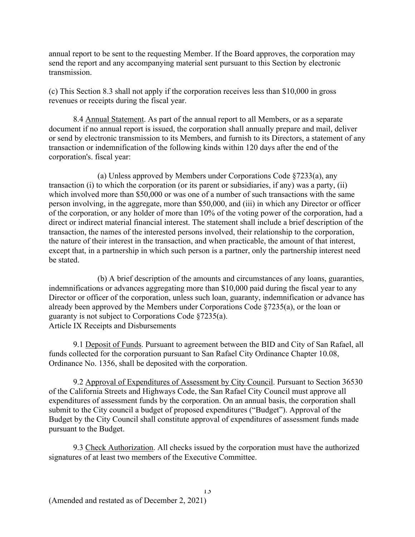annual report to be sent to the requesting Member. If the Board approves, the corporation may send the report and any accompanying material sent pursuant to this Section by electronic transmission.

(c) This Section 8.3 shall not apply if the corporation receives less than \$10,000 in gross revenues or receipts during the fiscal year.

8.4 Annual Statement. As part of the annual report to all Members, or as a separate document if no annual report is issued, the corporation shall annually prepare and mail, deliver or send by electronic transmission to its Members, and furnish to its Directors, a statement of any transaction or indemnification of the following kinds within 120 days after the end of the corporation's. fiscal year:

(a) Unless approved by Members under Corporations Code §7233(a), any transaction (i) to which the corporation (or its parent or subsidiaries, if any) was a party, (ii) which involved more than \$50,000 or was one of a number of such transactions with the same person involving, in the aggregate, more than \$50,000, and (iii) in which any Director or officer of the corporation, or any holder of more than 10% of the voting power of the corporation, had a direct or indirect material financial interest. The statement shall include a brief description of the transaction, the names of the interested persons involved, their relationship to the corporation, the nature of their interest in the transaction, and when practicable, the amount of that interest, except that, in a partnership in which such person is a partner, only the partnership interest need be stated.

(b) A brief description of the amounts and circumstances of any loans, guaranties, indemnifications or advances aggregating more than \$10,000 paid during the fiscal year to any Director or officer of the corporation, unless such loan, guaranty, indemnification or advance has already been approved by the Members under Corporations Code §7235(a), or the loan or guaranty is not subject to Corporations Code §7235(a). Article IX Receipts and Disbursements

9.1 Deposit of Funds. Pursuant to agreement between the BID and City of San Rafael, all funds collected for the corporation pursuant to San Rafael City Ordinance Chapter 10.08, Ordinance No. 1356, shall be deposited with the corporation.

9.2 Approval of Expenditures of Assessment by City Council. Pursuant to Section 36530 of the California Streets and Highways Code, the San Rafael City Council must approve all expenditures of assessment funds by the corporation. On an annual basis, the corporation shall submit to the City council a budget of proposed expenditures ("Budget"). Approval of the Budget by the City Council shall constitute approval of expenditures of assessment funds made pursuant to the Budget.

9.3 Check Authorization. All checks issued by the corporation must have the authorized signatures of at least two members of the Executive Committee.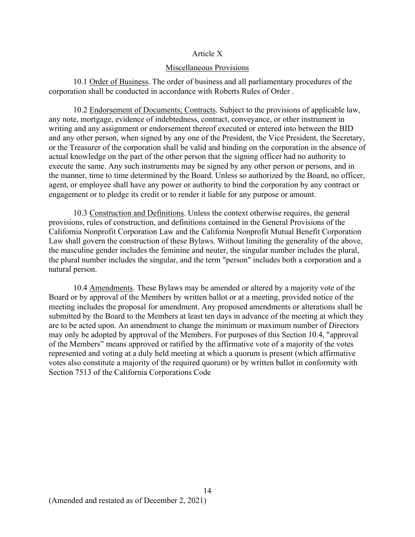### Article X

#### Miscellaneous Provisions

10.1 Order of Business. The order of business and all parliamentary procedures of the corporation shall be conducted in accordance with Roberts Rules of Order .

10.2 Endorsement of Documents; Contracts. Subject to the provisions of applicable law, any note, mortgage, evidence of indebtedness, contract, conveyance, or other instrument in writing and any assignment or endorsement thereof executed or entered into between the BID and any other person, when signed by any one of the President, the Vice President, the Secretary, or the Treasurer of the corporation shall be valid and binding on the corporation in the absence of actual knowledge on the part of the other person that the signing officer had no authority to execute the same. Any such instruments may be signed by any other person or persons, and in the manner, time to time determined by the Board. Unless so authorized by the Board, no officer, agent, or employee shall have any power or authority to bind the corporation by any contract or engagement or to pledge its credit or to render it liable for any purpose or amount.

10.3 Construction and Definitions. Unless the context otherwise requires, the general provisions, rules of construction, and definitions contained in the General Provisions of the California Nonprofit Corporation Law and the California Nonprofit Mutual Benefit Corporation Law shall govern the construction of these Bylaws. Without limiting the generality of the above, the masculine gender includes the feminine and neuter, the singular number includes the plural, the plural number includes the singular, and the term "person" includes both a corporation and a natural person.

10.4 Amendments. These Bylaws may be amended or altered by a majority vote of the Board or by approval of the Members by written ballot or at a meeting, provided notice of the meeting includes the proposal for amendment. Any proposed amendments or alterations shall be submitted by the Board to the Members at least ten days in advance of the meeting at which they are to be acted upon. An amendment to change the minimum or maximum number of Directors may only be adopted by approval of the Members. For purposes of this Section 10.4, "approval of the Members" means approved or ratified by the affirmative vote of a majority of the votes represented and voting at a duly held meeting at which a quorum is present (which affirmative votes also constitute a majority of the required quorum) or by written ballot in conformity with Section 7513 of the California Corporations Code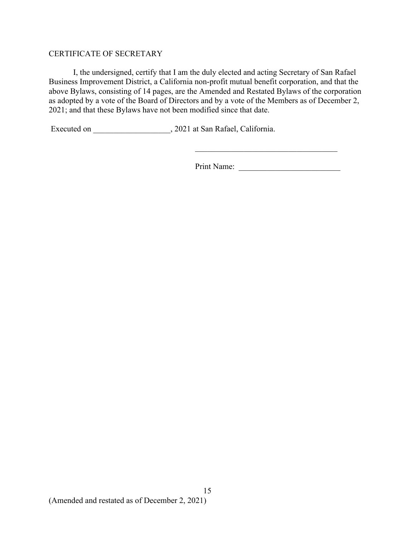# CERTIFICATE OF SECRETARY

I, the undersigned, certify that I am the duly elected and acting Secretary of San Rafael Business Improvement District, a California non-profit mutual benefit corporation, and that the above Bylaws, consisting of 14 pages, are the Amended and Restated Bylaws of the corporation as adopted by a vote of the Board of Directors and by a vote of the Members as of December 2, 2021; and that these Bylaws have not been modified since that date.

Executed on \_\_\_\_\_\_\_\_\_\_\_\_\_\_\_\_\_\_\_\_, 2021 at San Rafael, California.

Print Name: \_\_\_\_\_\_\_\_\_\_\_\_\_\_\_\_\_\_\_\_\_\_\_\_\_

 $\overline{\phantom{a}}$  , and the set of the set of the set of the set of the set of the set of the set of the set of the set of the set of the set of the set of the set of the set of the set of the set of the set of the set of the s